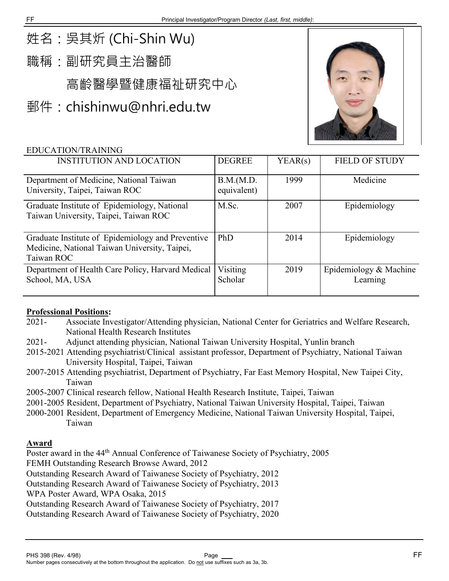# 姓名:吳其炘 (Chi-Shin Wu)

職稱:副研究員主治醫師

高齡醫學暨健康福祉研究中心

郵件:[chishinwu@nhri.edu.tw](mailto:chishinwu@nhri.edu.tw)



### EDUCATION/TRAINING

| <b>INSTITUTION AND LOCATION</b>                                                                                  | <b>DEGREE</b>             | YEAR(s) | <b>FIELD OF STUDY</b>              |
|------------------------------------------------------------------------------------------------------------------|---------------------------|---------|------------------------------------|
| Department of Medicine, National Taiwan<br>University, Taipei, Taiwan ROC                                        | B.M.(M.D.)<br>equivalent) | 1999    | Medicine                           |
| Graduate Institute of Epidemiology, National<br>Taiwan University, Taipei, Taiwan ROC                            | M.Sc.                     | 2007    | Epidemiology                       |
| Graduate Institute of Epidemiology and Preventive<br>Medicine, National Taiwan University, Taipei,<br>Taiwan ROC | <b>PhD</b>                | 2014    | Epidemiology                       |
| Department of Health Care Policy, Harvard Medical<br>School, MA, USA                                             | Visiting<br>Scholar       | 2019    | Epidemiology & Machine<br>Learning |

#### **Professional Positions:**

- 2021- Associate Investigator/Attending physician, National Center for Geriatrics and Welfare Research, National Health Research Institutes
- 2021- Adjunct attending physician, National Taiwan University Hospital, Yunlin branch
- 2015-2021 Attending psychiatrist/Clinical assistant professor, Department of Psychiatry, National Taiwan University Hospital, Taipei, Taiwan
- 2007-2015 Attending psychiatrist, Department of Psychiatry, Far East Memory Hospital, New Taipei City, Taiwan
- 2005-2007 Clinical research fellow, National Health Research Institute, Taipei, Taiwan
- 2001-2005 Resident, Department of Psychiatry, National Taiwan University Hospital, Taipei, Taiwan
- 2000-2001 Resident, Department of Emergency Medicine, National Taiwan University Hospital, Taipei, Taiwan

#### **Award**

Poster award in the 44<sup>th</sup> Annual Conference of Taiwanese Society of Psychiatry, 2005 FEMH Outstanding Research Browse Award, 2012

Outstanding Research Award of Taiwanese Society of Psychiatry, 2012

Outstanding Research Award of Taiwanese Society of Psychiatry, 2013

WPA Poster Award, WPA Osaka, 2015

Outstanding Research Award of Taiwanese Society of Psychiatry, 2017

Outstanding Research Award of Taiwanese Society of Psychiatry, 2020